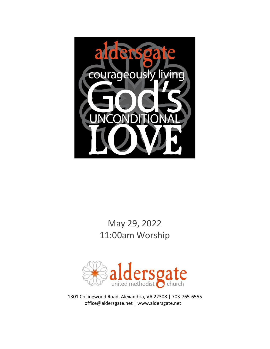

# May 29, 2022 11:00am Worship



1301 Collingwood Road, Alexandria, VA 22308 | 703-765-6555 office@aldersgate.net | www.aldersgate.net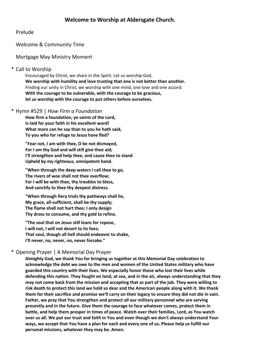## Prelude

Welcome & Community Time

Mortgage May Ministry Moment

## \* Call to Worship

Encouraged by Christ, we share in the Spirit. Let us worship God. **We worship with humility and love trusting that one is not better than another.** Finding our unity in Christ, we worship with one mind, one love and one accord. **With the courage to be vulnerable, with the courage to be gracious, let us worship with the courage to put others before ourselves.**

## \* Hymn #529 | *How Firm a Foundation*

**How firm a foundation, ye saints of the Lord, Is laid for your faith in his excellent word! What more can he say than to you he hath said, To you who for refuge to Jesus have fled?**

**"Fear not, I am with thee, O be not dismayed, For I am thy God and will still give thee aid; I'll strengthen and help thee, and cause thee to stand Upheld by my righteous, omnipotent hand.**

**"When through the deep waters I call thee to go, The rivers of woe shall not thee overflow; For I will be with thee, thy troubles to bless, And sanctify to thee thy deepest distress.**

**"When through fiery trials thy pathways shall lie, My grace, all-sufficient, shall be thy supply; The flame shall not hurt thee; I only design Thy dross to consume, and thy gold to refine.**

**"The soul that on Jesus still leans for repose, I will not, I will not desert to its foes; That soul, though all hell should endeavor to shake, I'll never, no, never, no, never forsake."**

## \* Opening Prayer | A Memorial Day Prayer

**Almighty God, we thank You for bringing us together at this Memorial Day celebration to acknowledge the debt we owe to the men and women of the United States military who have guarded this country with their lives. We especially honor those who lost their lives while defending this nation. They fought on land, at sea, and in the air, always understanding that they may not come back from the mission and accepting that as part of the job. They were willing to risk death to protect this land we hold so dear and the American people along with it. We thank them for their sacrifice and promise we'll carry on their legacy to ensure they did not die in vain. Father, we pray that You strengthen and protect all our military personnel who are serving presently and in the future. Give them the courage to face whatever comes, protect them in battle, and help them prosper in times of peace. Watch over their families, Lord, as You watch over us all. We put our trust and faith in You and even though we don't always understand Your ways, we accept that You have a plan for each and every one of us. Please help us fulfill our personal missions, whatever they may be. Amen.**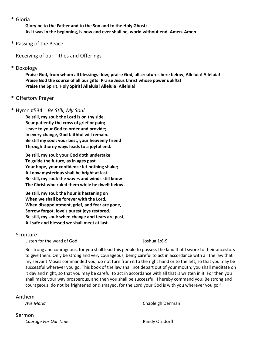\* Gloria

**Glory be to the Father and to the Son and to the Holy Ghost; As it was in the beginning, is now and ever shall be, world without end. Amen. Amen**

\* Passing of the Peace

Receiving of our Tithes and Offerings

\* Doxology

**Praise God, from whom all blessings flow; praise God, all creatures here below; Alleluia! Alleluia! Praise God the source of all our gifts! Praise Jesus Christ whose power uplifts! Praise the Spirit, Holy Spirit! Alleluia! Alleluia! Alleluia!**

\* Offertory Prayer

#### \* Hymn #534 | *Be Still, My Soul*

**Be still, my soul: the Lord is on thy side. Bear patiently the cross of grief or pain; Leave to your God to order and provide; In every change, God faithful will remain. Be still my soul: your best, your heavenly friend Through thorny ways leads to a joyful end.**

**Be still, my soul: your God doth undertake To guide the future, as in ages past. Your hope, your confidence let nothing shake; All now mysterious shall be bright at last. Be still, my soul: the waves and winds still know The Christ who ruled them while he dwelt below.**

**Be still, my soul: the hour is hastening on When we shall be forever with the Lord, When disappointment, grief, and fear are gone, Sorrow forgot, love's purest joys restored. Be still, my soul: when change and tears are past, All safe and blessed we shall meet at last.**

#### Scripture

Listen for the word of God Joshua 1:6-9

Be strong and courageous, for you shall lead this people to possess the land that I swore to their ancestors to give them. Only be strong and very courageous, being careful to act in accordance with all the law that my servant Moses commanded you; do not turn from it to the right hand or to the left, so that you may be successful wherever you go. This book of the law shall not depart out of your mouth; you shall meditate on it day and night, so that you may be careful to act in accordance with all that is written in it. For then you shall make your way prosperous, and then you shall be successful. I hereby command you: Be strong and courageous; do not be frightened or dismayed, for the Lord your God is with you wherever you go."

#### Anthem

*Ave Maria* Chapleigh Denman

Sermon **Courage For Our Time Randy Orndorff**